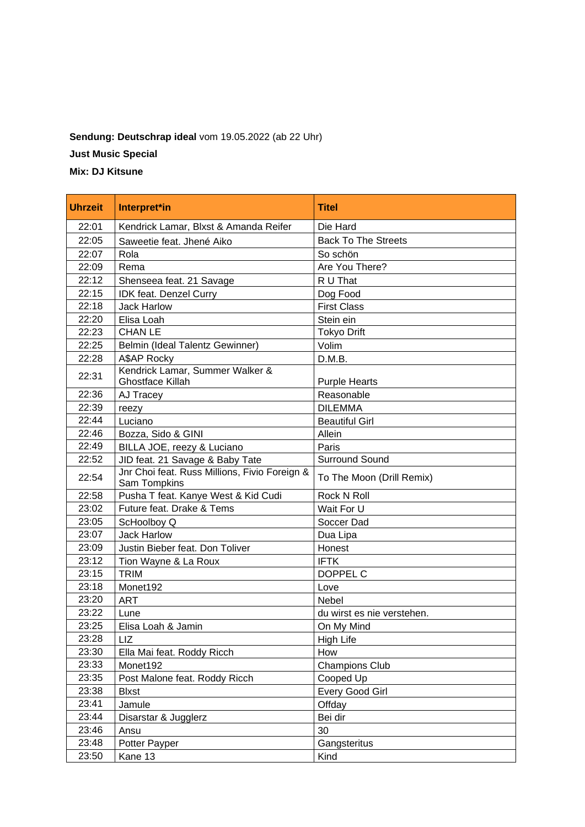## **Sendung: Deutschrap ideal** vom 19.05.2022 (ab 22 Uhr)

**Just Music Special**

**Mix: DJ Kitsune**

| <b>Uhrzeit</b> | Interpret*in                                                  | <b>Titel</b>               |
|----------------|---------------------------------------------------------------|----------------------------|
| 22:01          | Kendrick Lamar, Blxst & Amanda Reifer                         | Die Hard                   |
| 22:05          | Saweetie feat. Jhené Aiko                                     | <b>Back To The Streets</b> |
| 22:07          | Rola                                                          | So schön                   |
| 22:09          | Rema                                                          | Are You There?             |
| 22:12          | Shenseea feat. 21 Savage                                      | R U That                   |
| 22:15          | IDK feat. Denzel Curry                                        | Dog Food                   |
| 22:18          | <b>Jack Harlow</b>                                            | <b>First Class</b>         |
| 22:20          | Elisa Loah                                                    | Stein ein                  |
| 22:23          | <b>CHAN LE</b>                                                | <b>Tokyo Drift</b>         |
| 22:25          | Belmin (Ideal Talentz Gewinner)                               | Volim                      |
| 22:28          | A\$AP Rocky                                                   | D.M.B.                     |
| 22:31          | Kendrick Lamar, Summer Walker &<br>Ghostface Killah           | <b>Purple Hearts</b>       |
| 22:36          | AJ Tracey                                                     | Reasonable                 |
| 22:39          | reezy                                                         | <b>DILEMMA</b>             |
| 22:44          | Luciano                                                       | <b>Beautiful Girl</b>      |
| 22:46          | Bozza, Sido & GINI                                            | Allein                     |
| 22:49          | BILLA JOE, reezy & Luciano                                    | Paris                      |
| 22:52          | JID feat. 21 Savage & Baby Tate                               | <b>Surround Sound</b>      |
| 22:54          | Jnr Choi feat. Russ Millions, Fivio Foreign &<br>Sam Tompkins | To The Moon (Drill Remix)  |
| 22:58          | Pusha T feat. Kanye West & Kid Cudi                           | <b>Rock N Roll</b>         |
| 23:02          | Future feat. Drake & Tems                                     | Wait For U                 |
| 23:05          | ScHoolboy Q                                                   | Soccer Dad                 |
| 23:07          | <b>Jack Harlow</b>                                            | Dua Lipa                   |
| 23:09          | Justin Bieber feat. Don Toliver                               | Honest                     |
| 23:12          | Tion Wayne & La Roux                                          | <b>IFTK</b>                |
| 23:15          | <b>TRIM</b>                                                   | DOPPEL C                   |
| 23:18          | Monet192                                                      | Love                       |
| 23:20          | <b>ART</b>                                                    | <b>Nebel</b>               |
| 23:22          | Lune                                                          | du wirst es nie verstehen. |
| 23:25          | Elisa Loah & Jamin                                            | On My Mind                 |
| 23:28          | LIZ                                                           | <b>High Life</b>           |
| 23:30          | Ella Mai feat. Roddy Ricch                                    | How                        |
| 23:33          | Monet192                                                      | <b>Champions Club</b>      |
| 23:35          | Post Malone feat. Roddy Ricch                                 | Cooped Up                  |
| 23:38          | <b>Blxst</b>                                                  | Every Good Girl            |
| 23:41          | Jamule                                                        | Offday                     |
| 23:44          | Disarstar & Jugglerz                                          | Bei dir                    |
| 23:46          | Ansu                                                          | 30                         |
| 23:48          | Potter Payper                                                 | Gangsteritus               |
| 23:50          | Kane 13                                                       | Kind                       |